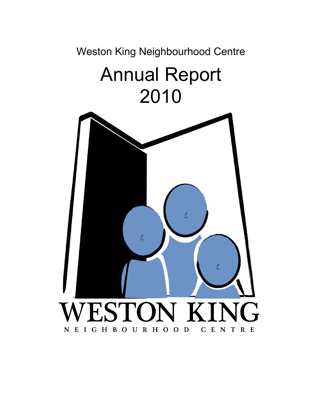Weston King Neighbourhood Centre

# Annual Report 2010

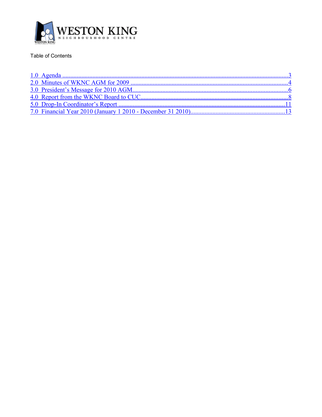

## Table of Contents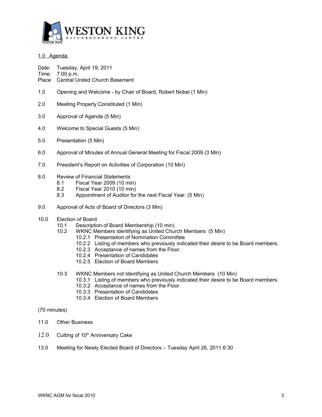

## <span id="page-2-0"></span>1.0 Agenda

Date: Tuesday, April 19, 2011

- Time: 7:00 p.m.
- Place Central United Church Basement
- 1.0 Opening and Welcome by Chair of Board, Robert Nobel (1 Min)
- 2.0 Meeting Properly Constituted (1 Min)
- 3.0 Approval of Agenda (5 Min)
- 4.0 Welcome to Special Guests (5 Min)
- 5.0 Presentation (5 Min)
- 6.0 Approval of Minutes of Annual General Meeting for Fiscal 2009 (3 Min)
- 7.0 President's Report on Activities of Corporation (10 Min)

## 8.0 Review of Financial Statements

- 8.1 Fiscal Year 2009 (10 min)
- 8.2 Fiscal Year 2010 (10 min)
- 8.3 Appointment of Auditor for the next Fiscal Year. (5 Min)
- 9.0 Approval of Acts of Board of Directors (3 Min)
- 10.0 Election of Board
	- 10.1 Description of Board Membership (10 min)
	- 10.2 WKNC Members identifying as United Church Members (5 Min)
		- 10.2.1 Presentation of Nomination Committee
			- 10.2.2 Listing of members who previously indicated their desire to be Board members.
			- 10.2.3 Acceptance of names from the Floor.
			- 10.2.4 Presentation of Candidates
			- 10.2.5 Election of Board Members
	- 10.3 WKNC Members not Identifying as United Church Members (10 Min)
		- 10.3.1 Listing of members who previously indicated their desire to be Board members.
		- 10.3.2 Acceptance of names from the Floor.
		- 10.3.3 Presentation of Candidates
		- 10.3.4 Election of Board Members

(70 minutes)

- 11.0 Other Business
- $12.0$  Cutting of 10<sup>th</sup> Anniversary Cake
- 13.0 Meeting for Newly Elected Board of Directors Tuesday April 26, 2011 6:30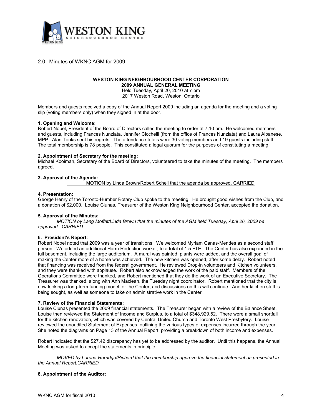

## <span id="page-3-0"></span>2.0 Minutes of WKNC AGM for 2009

#### **WESTON KING NEIGHBOURHOOD CENTER CORPORATION 2009 ANNUAL GENERAL MEETING**

Held Tuesday, April 20, 2010 at 7 pm 2017 Weston Road, Weston, Ontario

Members and guests received a copy of the Annual Report 2009 including an agenda for the meeting and a voting slip (voting members only) when they signed in at the door.

#### **1. Opening and Welcome:**

Robert Nobel, President of the Board of Directors called the meeting to order at 7.10 pm. He welcomed members and guests, including Frances Nunziata, Jennifer Cicchelli (from the office of Frances Nunziata) and Laura Albanese, MPP. Alan Tonks sent his regrets. The attendance totals were 30 voting members and 19 guests including staff. The total membership is 78 people. This constituted a legal quorum for the purposes of constituting a meeting.

#### **2. Appointment of Secretary for the meeting:**

Michael Kooiman, Secretary of the Board of Directors, volunteered to take the minutes of the meeting. The members agreed.

#### **3. Approval of the Agenda:**

MOTION by Linda Brown/Robert Schell that the agenda be approved. CARRIED

#### **4. Presentation:**

George Henry of the Toronto-Humber Rotary Club spoke to the meeting. He brought good wishes from the Club, and a donation of \$2,000. Louise Clunas, Treasurer of the Weston King Neighbourhood Center, accepted the donation.

#### **5. Approval of the Minutes:**

*MOTION by Lang Moffat/Linda Brown that the minutes of the AGM held Tuesday, April 26, 2009 be approved. CARRIED*

#### **6. President's Report:**

Robert Nobel noted that 2009 was a year of transitions. We welcomed Myriam Canas-Mendes as a second staff person. We added an additional Harm Reduction worker, to a total of 1.5 FTE. The Center has also expanded in the full basement, including the large auditorium. A mural was painted, plants were added, and the overall goal of making the Center more of a home was achieved. The new kitchen was opened, after some delay. Robert noted that financing was received from the federal government. He reviewed Drop-in volunteers and Kitchen volunteers, and they were thanked with applause. Robert also acknowledged the work of the paid staff. Members of the Operations Committee were thanked, and Robert mentioned that they do the work of an Executive Secretary. The Treasurer was thanked, along with Ann Maclean, the Tuesday night coordinator. Robert mentioned that the city is now looking a long-term funding model for the Center, and discussions on this will continue. Another kitchen staff is being sought, as well as someone to take on administrative work in the Center.

#### **7. Review of the Financial Statements:**

Louise Clunas presented the 2009 financial statements. The Treasurer began with a review of the Balance Sheet. Louise then reviewed the Statement of Income and Surplus, to a total of \$348,929.52. There were a small shortfall for the kitchen renovation, which was covered by Central United Church and Toronto West Presbytery. Louise reviewed the unaudited Statement of Expenses, outlining the various types of expenses incurred through the year. She noted the diagrams on Page 13 of the Annual Report, providing a breakdown of both income and expenses.

Robert indicated that the \$27.42 discrepancy has yet to be addressed by the auditor. Until this happens, the Annual Meeting was asked to accept the statements in principle.

*MOVED by Lorena Herridge/Richard that the membership approve the financial statement as presented in the Annual Report.CARRIED*

#### **8. Appointment of the Auditor:**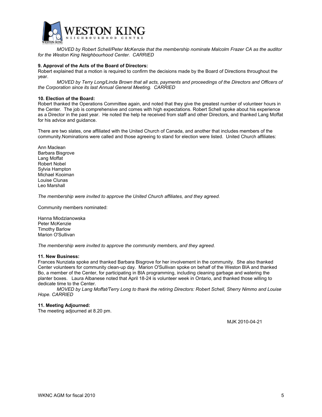

*MOVED by Robert Schell/Peter McKenzie that the membership nominate Malcolm Frazer CA as the auditor for the Weston King Neighbourhood Center. CARRIED*

#### **9. Approval of the Acts of the Board of Directors:**

Robert explained that a motion is required to confirm the decisions made by the Board of Directions throughout the year.

*MOVED by Terry Long/Linda Brown that all acts, payments and proceedings of the Directors and Officers of the Corporation since its last Annual General Meeting. CARRIED*

#### **10. Election of the Board:**

Robert thanked the Operations Committee again, and noted that they give the greatest number of volunteer hours in the Center. The job is comprehensive and comes with high expectations. Robert Schell spoke about his experience as a Director in the past year. He noted the help he received from staff and other Directors, and thanked Lang Moffat for his advice and guidance.

There are two slates, one affiliated with the United Church of Canada, and another that includes members of the community.Nominations were called and those agreeing to stand for election were listed. United Church affiliates:

Ann Maclean Barbara Bisgrove Lang Moffat Robert Nobel Sylvia Hampton Michael Kooiman Louise Clunas Leo Marshall

*The membership were invited to approve the United Church affiliates, and they agreed.*

Community members nominated:

Hanna Mlodzianowska Peter McKenzie Timothy Barlow Marion O'Sullivan

*The membership were invited to approve the community members, and they agreed.*

#### **11. New Business:**

Frances Nunziata spoke and thanked Barbara Bisgrove for her involvement in the community. She also thanked Center volunteers for community clean-up day. Marion O'Sullivan spoke on behalf of the Weston BIA and thanked Bo, a member of the Center, for participating in BIA programming, including cleaning garbage and watering the planter boxes. Laura Albanese noted that April 18-24 is volunteer week in Ontario, and thanked those willing to dedicate time to the Center.

*MOVED by Lang Moffat/Terry Long to thank the retiring Directors: Robert Schell, Sherry Nimmo and Louise Hope. CARRIED* 

#### **11. Meeting Adjourned:**

The meeting adjourned at 8.20 pm.

M.IK 2010-04-21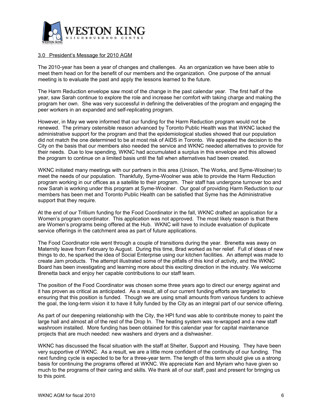

## <span id="page-5-0"></span>3.0 President's Message for 2010 AGM

The 2010-year has been a year of changes and challenges. As an organization we have been able to meet them head on for the benefit of our members and the organization. One purpose of the annual meeting is to evaluate the past and apply the lessons learned to the future.

The Harm Reduction envelope saw most of the change in the past calendar year. The first half of the year, saw Sarah continue to explore the role and increase her comfort with taking charge and making the program her own. She was very successful in defining the deliverables of the program and engaging the peer workers in an expanded and self-replicating program.

However, in May we were informed that our funding for the Harm Reduction program would not be renewed. The primary ostensible reason advanced by Toronto Public Health was that WKNC lacked the administrative support for the program and that the epidemiological studies showed that our population did not match the one determined to be at most risk of AIDS in Toronto. We appealed the decision to the City on the basis that our members also needed the service and WKNC needed alternatives to provide for their needs. Due to low spending, WKNC had accumulated a surplus in this envelope and this allowed the program to continue on a limited basis until the fall when alternatives had been created.

WKNC initiated many meetings with our partners in this area (Unison, The Works, and Syme-Woolner) to meet the needs of our population. Thankfully, Syme-Woolner was able to provide the Harm Reduction program working in our offices as a satellite to their program. Their staff has undergone turnover too and now Sarah is working under this program at Syme-Woolner. Our goal of providing Harm Reduction to our members has been met and Toronto Public Health can be satisfied that Syme has the Administrative support that they require.

At the end of our Trillium funding for the Food Coordinator in the fall, WKNC drafted an application for a Women's program coordinator. This application was not approved. The most likely reason is that there are Women's programs being offered at the Hub. WKNC will have to include evaluation of duplicate service offerings in the catchment area as part of future applications.

The Food Coordinator role went through a couple of transitions during the year. Brenetta was away on Maternity leave from February to August. During this time, Brad worked as her relief. Full of ideas of new things to do, he sparked the idea of Social Enterprise using our kitchen facilities. An attempt was made to create Jam products. The attempt illustrated some of the pitfalls of this kind of activity, and the WKNC Board has been investigating and learning more about this exciting direction in the industry. We welcome Brenetta back and enjoy her capable contributions to our staff team.

The position of the Food Coordinator was chosen some three years ago to direct our energy against and it has proven as critical as anticipated. As a result, all of our current funding efforts are targeted to ensuring that this position is funded. Though we are using small amounts from various funders to achieve the goal, the long-term vision it to have it fully funded by the City as an integral part of our service offering.

As part of our deepening relationship with the City, the HPI fund was able to contribute money to paint the large hall and almost all of the rest of the Drop In. The heating system was re-wrapped and a new staff washroom installed. More funding has been obtained for this calendar year for capital maintenance projects that are much needed: new washers and dryers and a dishwasher.

WKNC has discussed the fiscal situation with the staff at Shelter, Support and Housing. They have been very supportive of WKNC. As a result, we are a little more confident of the continuity of our funding. The next funding cycle is expected to be for a three-year term. The length of this term should give us a strong basis for continuing the programs offered at WKNC. We appreciate Ken and Myriam who have given so much to the programs of their caring and skills. We thank all of our staff, past and present for bringing us to this point.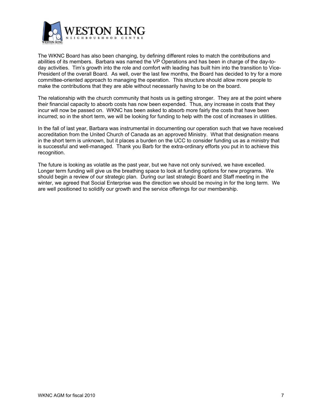

The WKNC Board has also been changing, by defining different roles to match the contributions and abilities of its members. Barbara was named the VP Operations and has been in charge of the day-today activities. Tim's growth into the role and comfort with leading has built him into the transition to Vice-President of the overall Board. As well, over the last few months, the Board has decided to try for a more committee-oriented approach to managing the operation. This structure should allow more people to make the contributions that they are able without necessarily having to be on the board.

The relationship with the church community that hosts us is getting stronger. They are at the point where their financial capacity to absorb costs has now been expended. Thus, any increase in costs that they incur will now be passed on. WKNC has been asked to absorb more fairly the costs that have been incurred; so in the short term, we will be looking for funding to help with the cost of increases in utilities.

In the fall of last year, Barbara was instrumental in documenting our operation such that we have received accreditation from the United Church of Canada as an approved Ministry. What that designation means in the short term is unknown, but it places a burden on the UCC to consider funding us as a ministry that is successful and well-managed. Thank you Barb for the extra-ordinary efforts you put in to achieve this recognition.

The future is looking as volatile as the past year, but we have not only survived, we have excelled. Longer term funding will give us the breathing space to look at funding options for new programs. We should begin a review of our strategic plan. During our last strategic Board and Staff meeting in the winter, we agreed that Social Enterprise was the direction we should be moving in for the long term. We are well positioned to solidify our growth and the service offerings for our membership.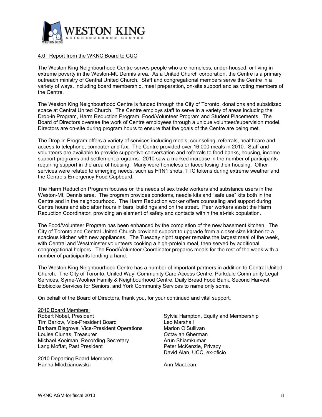

## <span id="page-7-0"></span>4.0 Report from the WKNC Board to CUC

The Weston King Neighbourhood Centre serves people who are homeless, under-housed, or living in extreme poverty in the Weston-Mt. Dennis area. As a United Church corporation, the Centre is a primary outreach ministry of Central United Church. Staff and congregational members serve the Centre in a variety of ways, including board membership, meal preparation, on-site support and as voting members of the Centre.

The Weston King Neighbourhood Centre is funded through the City of Toronto, donations and subsidized space at Central United Church. The Centre employs staff to serve in a variety of areas including the Drop-in Program, Harm Reduction Program, Food/Volunteer Program and Student Placements. The Board of Directors oversee the work of Centre employees through a unique volunteer/supervision model. Directors are on-site during program hours to ensure that the goals of the Centre are being met.

The Drop-in Program offers a variety of services including meals, counseling, referrals, healthcare and access to telephone, computer and fax. The Centre provided over 16,000 meals in 2010. Staff and volunteers are available to provide supportive conversation and referrals to food banks, housing, income support programs and settlement programs. 2010 saw a marked increase in the number of participants requiring support in the area of housing. Many were homeless or faced losing their housing. Other services were related to emerging needs, such as H1N1 shots, TTC tokens during extreme weather and the Centre's Emergency Food Cupboard.

The Harm Reduction Program focuses on the needs of sex trade workers and substance users in the Weston-Mt. Dennis area. The program provides condoms, needle kits and "safe use" kits both in the Centre and in the neighbourhood. The Harm Reduction worker offers counseling and support during Centre hours and also after hours in bars, buildings and on the street. Peer workers assist the Harm Reduction Coordinator, providing an element of safety and contacts within the at-risk population.

The Food/Volunteer Program has been enhanced by the completion of the new basement kitchen. The City of Toronto and Central United Church provided support to upgrade from a closet-size kitchen to a spacious kitchen with new appliances. The Tuesday night supper remains the largest meal of the week, with Central and Westminster volunteers cooking a high-protein meal, then served by additional congregational helpers. The Food/Volunteer Coordinator prepares meals for the rest of the week with a number of participants lending a hand.

The Weston King Neighbourhood Centre has a number of important partners in addition to Central United Church. The City of Toronto, United Way, Community Care Access Centre, Parkdale Community Legal Services, Syme-Woolner Family & Neighbourhood Centre, Daily Bread Food Bank, Second Harvest, Etobicoke Services for Seniors, and York Community Services to name only some.

On behalf of the Board of Directors, thank you, for your continued and vital support.

2010 Board Members: Robert Nobel, President Sylvia Hampton, Equity and Membership Tim Barlow, Vice-President Board Leo Marshall Barbara Bisgrove, Vice-President Operations Marion O'Sullivan Louise Clunas, Treasurer **Communist Clunas**, Treasurer **Communist Clunas** Cherman Michael Kooiman, Recording Secretary **Arun Shiamkumar** Lang Moffat, Past President **Peter McKenzie, Privacy** 

2010 Departing Board Members Hanna Mlodzianowska **Annual MacLean** 

David Alan, UCC, ex-oficio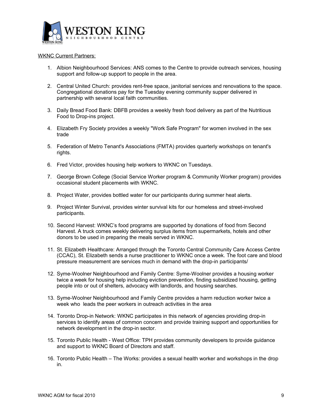

## WKNC Current Partners:

- 1. Albion Neighbourhood Services: ANS comes to the Centre to provide outreach services, housing support and follow-up support to people in the area.
- 2. Central United Church: provides rent-free space, janitorial services and renovations to the space. Congregational donations pay for the Tuesday evening community supper delivered in partnership with several local faith communities.
- 3. Daily Bread Food Bank: DBFB provides a weekly fresh food delivery as part of the Nutritious Food to Drop-ins project.
- 4. Elizabeth Fry Society provides a weekly "Work Safe Program" for women involved in the sex trade
- 5. Federation of Metro Tenant's Associations (FMTA) provides quarterly workshops on tenant's rights.
- 6. Fred Victor, provides housing help workers to WKNC on Tuesdays.
- 7. George Brown College (Social Service Worker program & Community Worker program) provides occasional student placements with WKNC.
- 8. Project Water, provides bottled water for our participants during summer heat alerts.
- 9. Project Winter Survival, provides winter survival kits for our homeless and street-involved participants.
- 10. Second Harvest: WKNC's food programs are supported by donations of food from Second Harvest. A truck comes weekly delivering surplus items from supermarkets, hotels and other donors to be used in preparing the meals served in WKNC.
- 11. St. Elizabeth Healthcare: Arranged through the Toronto Central Community Care Access Centre (CCAC), St. Elizabeth sends a nurse practitioner to WKNC once a week. The foot care and blood pressure measurement are services much in demand with the drop-in participants/
- 12. Syme-Woolner Neighbourhood and Family Centre: Syme-Woolner provides a housing worker twice a week for housing help including eviction prevention, finding subsidized housing, getting people into or out of shelters, advocacy with landlords, and housing searches.
- 13. Syme-Woolner Neighbourhood and Family Centre provides a harm reduction worker twice a week who leads the peer workers in outreach activities in the area
- 14. Toronto Drop-in Network: WKNC participates in this network of agencies providing drop-in services to identify areas of common concern and provide training support and opportunities for network development in the drop-in sector.
- 15. Toronto Public Health West Office: TPH provides community developers to provide guidance and support to WKNC Board of Directors and staff.
- 16. Toronto Public Health The Works: provides a sexual health worker and workshops in the drop in.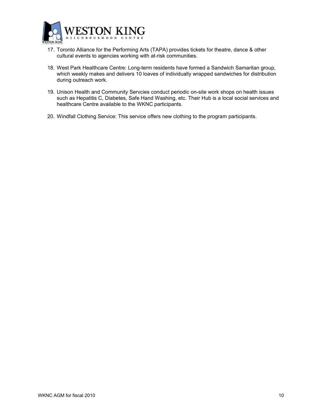

- 17. Toronto Alliance for the Performing Arts (TAPA) provides tickets for theatre, dance & other cultural events to agencies working with at-risk communities.
- 18. West Park Healthcare Centre: Long-term residents have formed a Sandwich Samaritan group, which weekly makes and delivers 10 loaves of individually wrapped sandwiches for distribution during outreach work.
- 19. Unison Health and Community Servcies conduct periodic on-site work shops on health issues such as Hepatitis C, Diabetes, Safe Hand Washing, etc. Their Hub is a local social services and healthcare Centre available to the WKNC participants.
- 20. Windfall Clothing Service: This service offers new clothing to the program participants.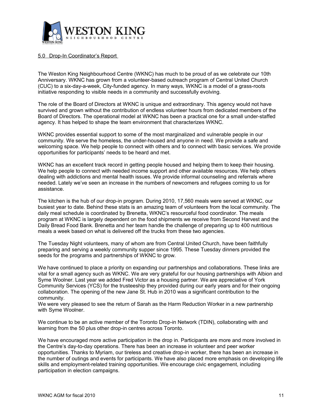

## <span id="page-10-0"></span>5.0 Drop-In Coordinator's Report

The Weston King Neighbourhood Centre (WKNC) has much to be proud of as we celebrate our 10th Anniversary. WKNC has grown from a volunteer-based outreach program of Central United Church (CUC) to a six-day-a-week, City-funded agency. In many ways, WKNC is a model of a grass-roots initiative responding to visible needs in a community and successfully evolving.

The role of the Board of Directors at WKNC is unique and extraordinary. This agency would not have survived and grown without the contribution of endless volunteer hours from dedicated members of the Board of Directors. The operational model at WKNC has been a practical one for a small under-staffed agency. It has helped to shape the team environment that characterizes WKNC.

WKNC provides essential support to some of the most marginalized and vulnerable people in our community. We serve the homeless, the under-housed and anyone in need. We provide a safe and welcoming space. We help people to connect with others and to connect with basic services. We provide opportunities for participants' needs to be heard and met.

WKNC has an excellent track record in getting people housed and helping them to keep their housing. We help people to connect with needed income support and other available resources. We help others dealing with addictions and mental health issues. We provide informal counseling and referrals where needed. Lately we've seen an increase in the numbers of newcomers and refugees coming to us for assistance.

The kitchen is the hub of our drop-in program. During 2010, 17,560 meals were served at WKNC, our busiest year to date. Behind these stats is an amazing team of volunteers from the local community. The daily meal schedule is coordinated by Brenetta, WKNC's resourceful food coordinator. The meals program at WKNC is largely dependent on the food shipments we receive from Second Harvest and the Daily Bread Food Bank. Brenetta and her team handle the challenge of preparing up to 400 nutritious meals a week based on what is delivered off the trucks from these two agencies.

The Tuesday Night volunteers, many of whom are from Central United Church, have been faithfully preparing and serving a weekly community supper since 1995. These Tuesday dinners provided the seeds for the programs and partnerships of WKNC to grow.

We have continued to place a priority on expanding our partnerships and collaborations. These links are vital for a small agency such as WKNC. We are very grateful for our housing partnerships with Albion and Syme Woolner. Last year we added Fred Victor as a housing partner. We are appreciative of York Community Services (YCS) for the trusteeship they provided during our early years and for their ongoing collaboration. The opening of the new Jane St. Hub in 2010 was a significant contribution to the community.

We were very pleased to see the return of Sarah as the Harm Reduction Worker in a new partnership with Syme Woolner.

We continue to be an active member of the Toronto Drop-in Network (TDIN), collaborating with and learning from the 50 plus other drop-in centres across Toronto.

We have encouraged more active participation in the drop in. Participants are more and more involved in the Centre's day-to-day operations. There has been an increase in volunteer and peer worker opportunities. Thanks to Myriam, our tireless and creative drop-in worker, there has been an increase in the number of outings and events for participants. We have also placed more emphasis on developing life skills and employment-related training opportunities. We encourage civic engagement, including participation in election campaigns.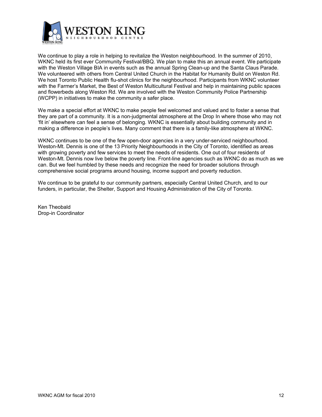

We continue to play a role in helping to revitalize the Weston neighbourhood. In the summer of 2010, WKNC held its first ever Community Festival/BBQ. We plan to make this an annual event. We participate with the Weston Village BIA in events such as the annual Spring Clean-up and the Santa Claus Parade. We volunteered with others from Central United Church in the Habitat for Humanity Build on Weston Rd. We host Toronto Public Health flu-shot clinics for the neighbourhood. Participants from WKNC volunteer with the Farmer's Market, the Best of Weston Multicultural Festival and help in maintaining public spaces and flowerbeds along Weston Rd. We are involved with the Weston Community Police Partnership (WCPP) in initiatives to make the community a safer place.

We make a special effort at WKNC to make people feel welcomed and valued and to foster a sense that they are part of a community. It is a non-judgmental atmosphere at the Drop In where those who may not 'fit in' elsewhere can feel a sense of belonging. WKNC is essentially about building community and in making a difference in people's lives. Many comment that there is a family-like atmosphere at WKNC.

WKNC continues to be one of the few open-door agencies in a very under-serviced neighbourhood. Weston-Mt. Dennis is one of the 13 Priority Neighbourhoods in the City of Toronto, identified as areas with growing poverty and few services to meet the needs of residents. One out of four residents of Weston-Mt. Dennis now live below the poverty line. Front-line agencies such as WKNC do as much as we can. But we feel humbled by these needs and recognize the need for broader solutions through comprehensive social programs around housing, income support and poverty reduction.

We continue to be grateful to our community partners, especially Central United Church, and to our funders, in particular, the Shelter, Support and Housing Administration of the City of Toronto.

Ken Theobald Drop-in Coordinator